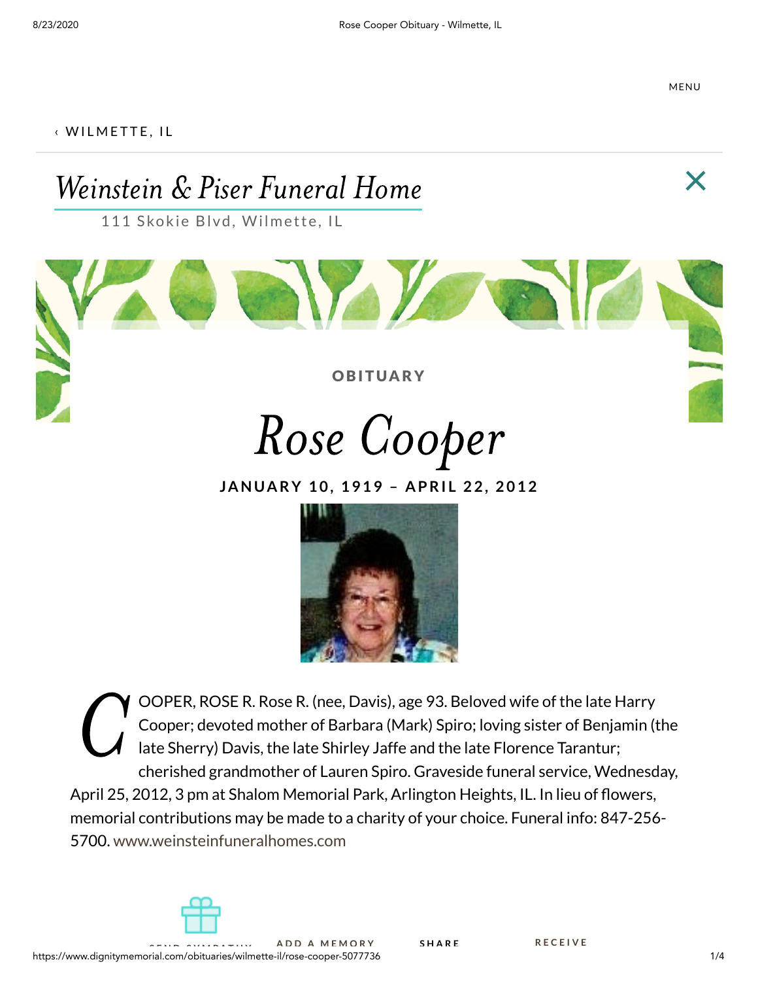MENU

#### $\left\langle$  [W](https://www.dignitymemorial.com/obituaries/wilmette-il)ILMETTE, IL

# Weinstein & Piser Funeral Home  $\times$

111 Skokie Blvd, Wilmette, IL

**OBITUARY** 

Rose Cooper

**JANUA RY 1 0 , 1 9 1 9 – A PRI L 2 2 , 2 0 1 2**



 $\mathbf{C}^{\circ}_{\frac{c}{c}}$ OOPER, ROSE R. Rose R. (nee, Davis), age 93. Beloved wife of the late Harry Cooper; devoted mother of Barbara (Mark) Spiro; loving sister of Benjamin (the late Sherry) Davis, the late Shirley Jaffe and the late Florence Tarantur; cherished grandmother of Lauren Spiro. Graveside funeral service, Wednesday, April 25, 2012, 3 pm at Shalom Memorial Park, Arlington Heights, IL. In lieu of flowers, memorial contributions may be made to a charity of your choice. Funeral info: 847-256- 5700. [www.weinsteinfuneralhomes.com](https://www.weinsteinfuneralhomes.com/)

**S H A R E**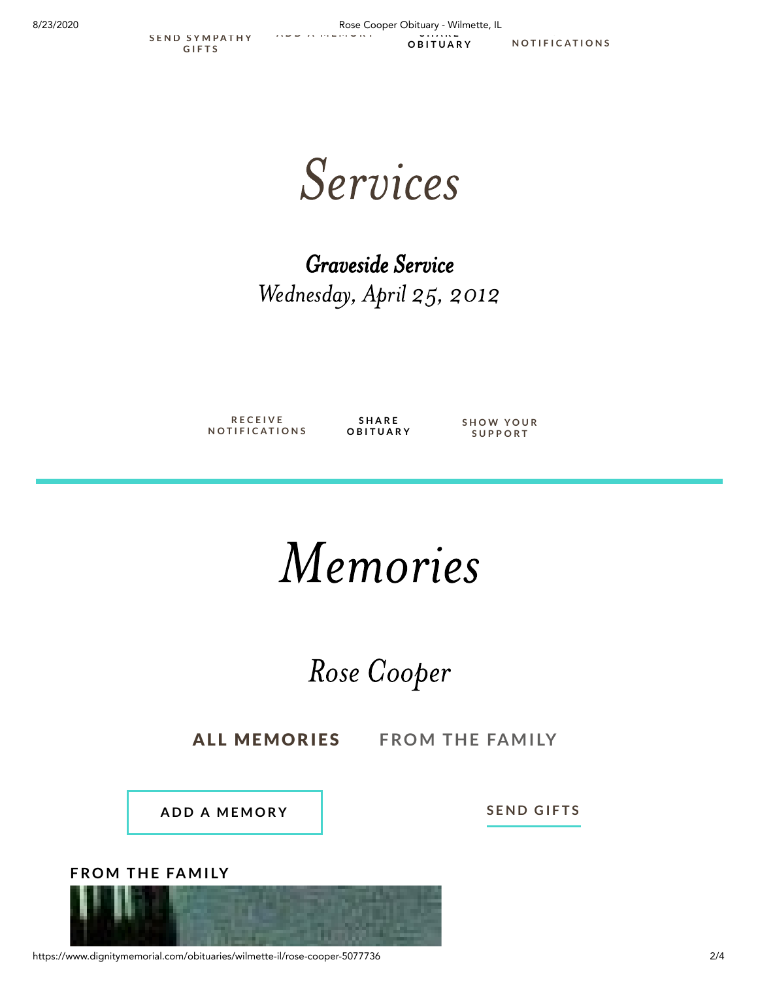**S E N D S Y [M](https://www.1800flowers.com/fhdirect?LocNumber=7157&mId=5077736&campaign_id=obituaryiconB_english&referrer=www.google.com) P A T H Y G I F T S**

8/23/2020 Rose Cooper Obituary - Wilmette, IL **A D D A [M](https://www.dignitymemorial.com/obituaries/wilmette-il/rose-cooper-5077736/add-memory) E M O R Y R E C E I V E S H A R E O B I T U A R Y**

**N [O](https://www.dignitymemorial.com/subscription/subscribe-user?id=5077736&type=obit) T I F I C A T I O N S**

Services

Graveside Service Wednesday, April 25, 2012

**R E C E I V E N [O](https://www.dignitymemorial.com/subscription/subscribe-user?id=5077736&type=obit) T I F I C A T I O N S**

**S H A R E O B I T U A R Y** **S H O [W](https://www.dignitymemorial.com/support-friends-and-family/show-your-support) Y O U R S U P P O R T**

# Memories

## Rose Cooper

**ALL MEMORIES** FROM THE FAMILY

**A D D A [M](https://www.dignitymemorial.com/obituaries/wilmette-il/rose-cooper-5077736/add-memory) E M O R Y**

 $S$  **E[N](https://www.1800flowers.com/fhdirect?LocNumber=7157&mId=5077736&campaign_id=obituarymemories_english&referrer=www.google.com)D GIFTS** 





https://www.dignitymemorial.com/obituaries/wilmette-il/rose-cooper-5077736 2/4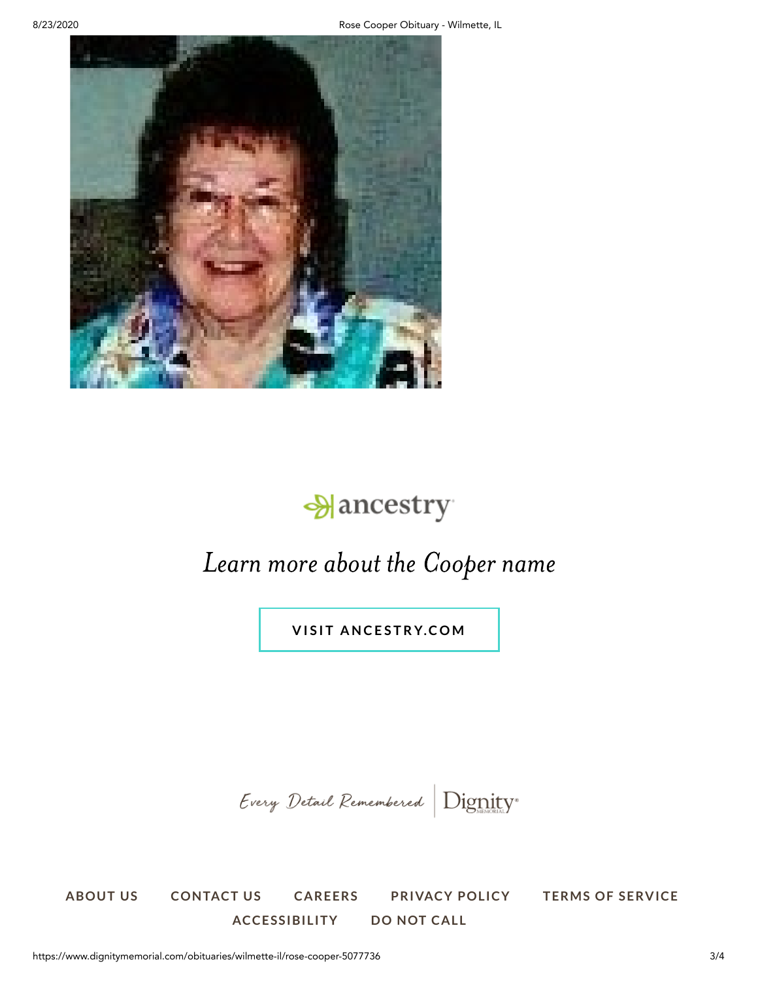

### **Mancestry**

### Learn more about the Cooper name

**V I S I T A N C E S T R [Y.C](https://prf.hn/click/camref:1101l9zNS/destination:https://www.ancestry.com/cs/partner-records?flowId=partnersBirth&gsfn=Rose&gsln=Cooper) O M**

Every Detail Remembered Dignity®

**[ABOUT](https://www.dignitymemorial.com/about-dignity-memorial) US [CONTACT](https://www.dignitymemorial.com/contact-us) US [CAREERS](https://sci.jobs/) [PRIVACY](https://www.sci-corp.com/privacy-policy) POLICY TERMS OF [SERVICE](https://www.dignitymemorial.com/terms-of-service) [ACCESSIBILITY](https://www.dignitymemorial.com/accessibility) DO NOT [CALL](https://www.dignitymemorial.com/do-not-call-policy)**